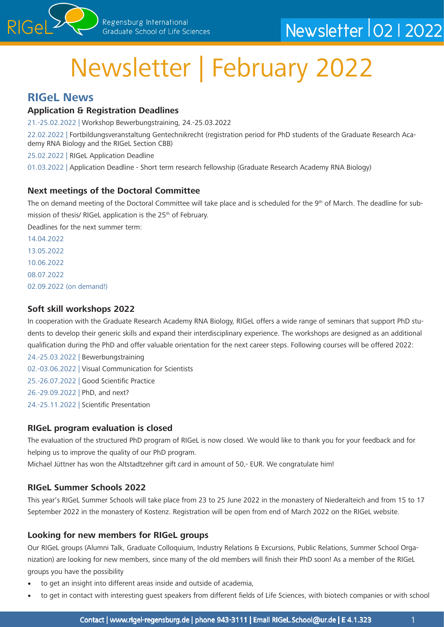

# Newsletter | February 2022

### **RIGeL News**

#### **Application & Registration Deadlines**

21.-25.02.2022 | Workshop Bewerbungstraining, 24.-25.03.2022

22.02.2022 | Fortbildungsveranstaltung Gentechnikrecht (registration period for PhD students of the Graduate Research Academy RNA Biology and the RIGeL Section CBB)

25.02.2022 | RIGeL Application Deadline

01.03.2022 | Application Deadline - Short term research fellowship (Graduate Research Academy RNA Biology)

#### **Next meetings of the Doctoral Committee**

The on demand meeting of the Doctoral Committee will take place and is scheduled for the 9<sup>th</sup> of March. The deadline for submission of thesis/ RIGeL application is the 25<sup>th</sup> of February. Deadlines for the next summer term:

14.04.2022 13.05.2022 10.06.2022 08.07.2022 02.09.2022 (on demand!)

#### **Soft skill workshops 2022**

In cooperation with the Graduate Research Academy RNA Biology, RIGeL offers a wide range of seminars that support PhD students to develop their generic skills and expand their interdisciplinary experience. The workshops are designed as an additional qualification during the PhD and offer valuable orientation for the next career steps. Following courses will be offered 2022:

24.-25.03.2022 | Bewerbungstraining

02.-03.06.2022 | Visual Communication for Scientists

25.-26.07.2022 | Good Scientific Practice

26.-29.09.2022 | PhD, and next?

24.-25.11.2022 | Scientific Presentation

#### **RIGeL program evaluation is closed**

The evaluation of the structured PhD program of RIGeL is now closed. We would like to thank you for your feedback and for helping us to improve the quality of our PhD program.

Michael Jüttner has won the Altstadtzehner gift card in amount of 50,- EUR. We congratulate him!

#### **RIGeL Summer Schools 2022**

This year's RIGeL Summer Schools will take place from 23 to 25 June 2022 in the monastery of Niederalteich and from 15 to 17 September 2022 in the monastery of Kostenz. Registration will be open from end of March 2022 on the RIGeL website.

#### **Looking for new members for RIGeL groups**

Our RIGeL groups (Alumni Talk, Graduate Colloquium, Industry Relations & Excursions, Public Relations, Summer School Organization) are looking for new members, since many of the old members will finish their PhD soon! As a member of the RIGeL groups you have the possibility

- to get an insight into different areas inside and outside of academia,
- to get in contact with interesting guest speakers from different fields of Life Sciences, with biotech companies or with school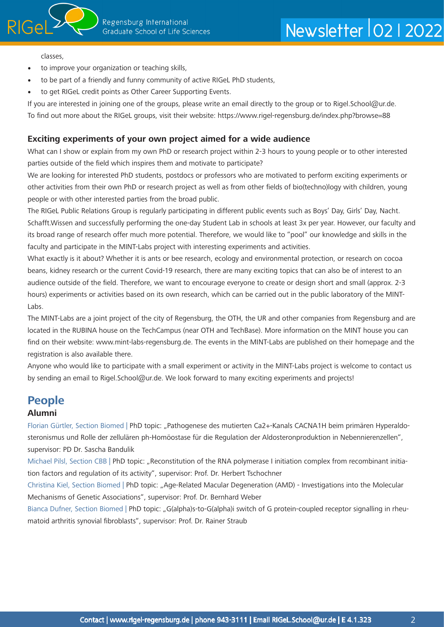

classes,

- to improve your organization or teaching skills,
- to be part of a friendly and funny community of active RIGeL PhD students,
- to get RIGeL credit points as Other Career Supporting Events.

If you are interested in joining one of the groups, please write an email directly to the group or to Rigel.School@ur.de. To find out more about the RIGeL groups, visit their website:<https://www.rigel-regensburg.de/index.php?browse=88>

#### **Exciting experiments of your own project aimed for a wide audience**

What can I show or explain from my own PhD or research project within 2-3 hours to young people or to other interested parties outside of the field which inspires them and motivate to participate?

We are looking for interested PhD students, postdocs or professors who are motivated to perform exciting experiments or other activities from their own PhD or research project as well as from other fields of bio(techno)logy with children, young people or with other interested parties from the broad public.

The RIGeL Public Relations Group is regularly participating in different public events such as Boys' Day, Girls' Day, Nacht. Schafft.Wissen and successfully performing the one-day Student Lab in schools at least 3x per year. However, our faculty and its broad range of research offer much more potential. Therefore, we would like to "pool" our knowledge and skills in the faculty and participate in the MINT-Labs project with interesting experiments and activities.

What exactly is it about? Whether it is ants or bee research, ecology and environmental protection, or research on cocoa beans, kidney research or the current Covid-19 research, there are many exciting topics that can also be of interest to an audience outside of the field. Therefore, we want to encourage everyone to create or design short and small (approx. 2-3 hours) experiments or activities based on its own research, which can be carried out in the public laboratory of the MINT-Labs.

The MINT-Labs are a joint project of the city of Regensburg, the OTH, the UR and other companies from Regensburg and are located in the RUBINA house on the TechCampus (near OTH and TechBase). More information on the MINT house you can find on their website: [www.mint-labs-regensburg.de.](www.mint-labs-regensburg.de) The events in the MINT-Labs are published on their homepage and the registration is also available there.

Anyone who would like to participate with a small experiment or activity in the MINT-Labs project is welcome to contact us by sending an email to Rigel.School@ur.de. We look forward to many exciting experiments and projects!

# **People**

#### **Alumni**

Florian Gürtler, Section Biomed | PhD topic: "Pathogenese des mutierten Ca2+-Kanals CACNA1H beim primären Hyperaldosteronismus und Rolle der zellulären ph-Homöostase für die Regulation der Aldosteronproduktion in Nebennierenzellen", supervisor: PD Dr. Sascha Bandulik

Michael Pilsl, Section CBB | PhD topic: "Reconstitution of the RNA polymerase I initiation complex from recombinant initiation factors and regulation of its activity", supervisor: Prof. Dr. Herbert Tschochner

Christina Kiel, Section Biomed | PhD topic: "Age-Related Macular Degeneration (AMD) - Investigations into the Molecular Mechanisms of Genetic Associations", supervisor: Prof. Dr. Bernhard Weber

Bianca Dufner, Section Biomed | PhD topic: "G(alpha)s-to-G(alpha)i switch of G protein-coupled receptor signalling in rheumatoid arthritis synovial fibroblasts", supervisor: Prof. Dr. Rainer Straub